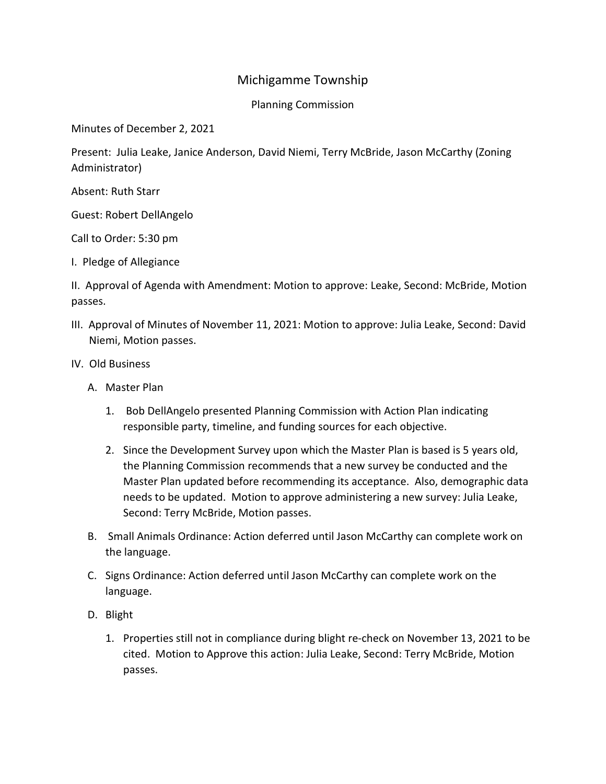## Michigamme Township

Planning Commission

Minutes of December 2, 2021

Present: Julia Leake, Janice Anderson, David Niemi, Terry McBride, Jason McCarthy (Zoning Administrator)

Absent: Ruth Starr

Guest: Robert DellAngelo

Call to Order: 5:30 pm

I. Pledge of Allegiance

II. Approval of Agenda with Amendment: Motion to approve: Leake, Second: McBride, Motion passes.

- III. Approval of Minutes of November 11, 2021: Motion to approve: Julia Leake, Second: David Niemi, Motion passes.
- IV. Old Business
	- A. Master Plan
		- 1. Bob DellAngelo presented Planning Commission with Action Plan indicating responsible party, timeline, and funding sources for each objective.
		- 2. Since the Development Survey upon which the Master Plan is based is 5 years old, the Planning Commission recommends that a new survey be conducted and the Master Plan updated before recommending its acceptance. Also, demographic data needs to be updated. Motion to approve administering a new survey: Julia Leake, Second: Terry McBride, Motion passes.
	- B. Small Animals Ordinance: Action deferred until Jason McCarthy can complete work on the language.
	- C. Signs Ordinance: Action deferred until Jason McCarthy can complete work on the language.
	- D. Blight
		- 1. Properties still not in compliance during blight re-check on November 13, 2021 to be cited. Motion to Approve this action: Julia Leake, Second: Terry McBride, Motion passes.